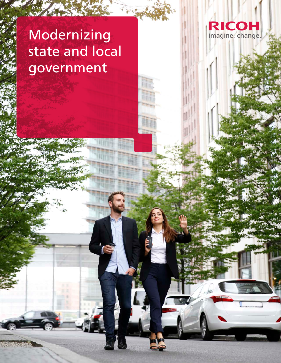# Modernizing state and local government

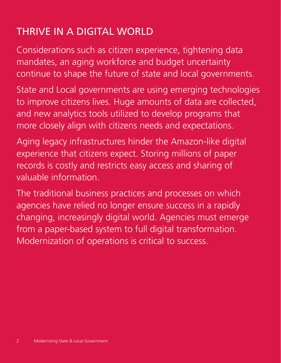## THRIVE IN A DIGITAL WORLD

Considerations such as citizen experience, tightening data mandates, an aging workforce and budget uncertainty continue to shape the future of state and local governments.

State and Local governments are using emerging technologies to improve citizens lives. Huge amounts of data are collected, and new analytics tools utilized to develop programs that more closely align with citizens needs and expectations.

Aging legacy infrastructures hinder the Amazon-like digital experience that citizens expect. Storing millions of paper records is costly and restricts easy access and sharing of valuable information.

The traditional business practices and processes on which agencies have relied no longer ensure success in a rapidly changing, increasingly digital world. Agencies must emerge from a paper-based system to full digital transformation. Modernization of operations is critical to success.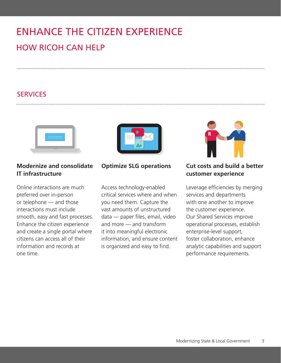# ENHANCE THE CITIZEN EXPERIENCE HOW RICOH CAN HELP

## SERVICES



### **Modernize and consolidate IT infrastructure**

Online interactions are much preferred over in-person or telephone — and those interactions must include smooth, easy and fast processes. Enhance the citizen experience and create a single portal where citizens can access all of their information and records at one time.



**Optimize SLG operations**

Access technology-enabled critical services where and when you need them. Capture the vast amounts of unstructured data — paper files, email, video and more — and transform it into meaningful electronic information, and ensure content is organized and easy to find.



#### **Cut costs and build a better customer experience**

Leverage efficiencies by merging services and departments with one another to improve the customer experience. Our Shared Services improve operational processes, establish enterprise-level support, foster collaboration, enhance analytic capabilities and support performance requirements.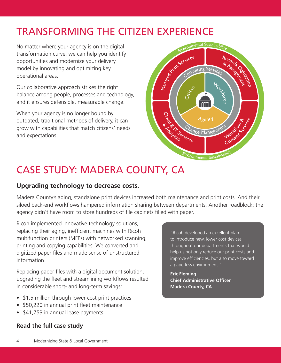## TRANSFORMING THE CITIZEN EXPERIENCE

No matter where your agency is on the digital transformation curve, we can help you identify opportunities and modernize your delivery model by innovating and optimizing key operational areas.

Our collaborative approach strikes the right balance among people, processes and technology, and it ensures defensible, measurable change.

When your agency is no longer bound by outdated, traditional methods of delivery, it can grow with capabilities that match citizens' needs and expectations.



## CASE STUDY: MADERA COUNTY, CA

### **Upgrading technology to decrease costs.**

Madera County's aging, standalone print devices increased both maintenance and print costs. And their siloed back-end workflows hampered information sharing between departments. Another roadblock: the agency didn't have room to store hundreds of file cabinets filled with paper.

Ricoh implemented innovative technology solutions, replacing their aging, inefficient machines with Ricoh multifunction printers (MFPs) with networked scanning, printing and copying capabilities. We converted and digitized paper files and made sense of unstructured information.

Replacing paper files with a digital document solution, upgrading the fleet and streamlining workflows resulted in considerable short- and long-term savings:

- \$1.5 million through lower-cost print practices
- \$50,220 in annual print fleet maintenance
- \$41,753 in annual lease payments

#### **[Read the full case study](https://www.ricoh-usa.com/en/insights/library/case-studies/county-of-madera-ca)**

"Ricoh developed an excellent plan to introduce new, lower cost devices throughout our departments that would help us not only reduce our print costs and improve efficiencies, but also move toward a paperless environment."

**Eric Fleming Chief Administrative Officer Madera County, CA**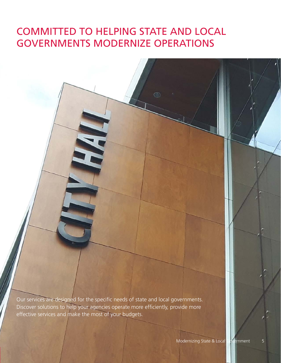## COMMITTED TO HELPING STATE AND LOCAL GOVERNMENTS MODERNIZE OPERATIONS

Our services are designed for the specific needs of state and local governments. Discover solutions to help your agencies operate more efficiently, provide more effective services and make the most of your budgets.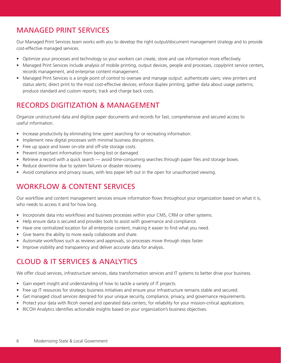## MANAGED PRINT SERVICES

Our Managed Print Services team works with you to develop the right output/document management strategy and to provide cost-effective managed services.

- Optimize your processes and technology so your workers can create, store and use information more effectively.
- Managed Print Services include analysis of mobile printing, output devices, people and processes, copy/print service centers, records management, and enterprise content management.
- Managed Print Services is a single point of control to oversee and manage output: authenticate users; view printers and status alerts; direct print to the most cost-effective devices; enforce duplex printing; gather data about usage patterns; produce standard and custom reports; track and charge back costs.

## RECORDS DIGITIZATION & MANAGEMENT

Organize unstructured data and digitize paper documents and records for fast, comprehensive and secured access to useful information.

- Increase productivity by eliminating time spent searching for or recreating information.
- Implement new digital processes with minimal business disruptions.
- Free up space and lower on-site and off-site storage costs.
- Prevent important information from being lost or damaged.
- Retrieve a record with a quick search avoid time-consuming searches through paper files and storage boxes.
- Reduce downtime due to system failures or disaster recovery.
- Avoid compliance and privacy issues, with less paper left out in the open for unauthorized viewing.

## WORKFLOW & CONTENT SERVICES

Our workflow and content management services ensure information flows throughout your organization based on what it is, who needs to access it and for how long.

- Incorporate data into workflows and business processes within your CMS, CRM or other systems.
- Help ensure data is secured and provides tools to assist with governance and compliance.
- Have one centralized location for all enterprise content, making it easier to find what you need.
- Give teams the ability to more easily collaborate and share.
- Automate workflows such as reviews and approvals, so processes move through steps faster.
- Improve visibility and transparency and deliver accurate data for analysis.

## CLOUD & IT SERVICES & ANALYTICS

We offer cloud services, infrastructure services, data transformation services and IT systems to better drive your business.

- Gain expert insight and understanding of how to tackle a variety of IT projects.
- Free up IT resources for strategic business initiatives and ensure your infrastructure remains stable and secured.
- Get managed cloud services designed for your unique security, compliance, privacy, and governance requirements.
- Protect your data with Ricoh owned and operated data centers, for reliability for your mission-critical applications.
- RICOH Analytics identifies actionable insights based on your organization's business objectives.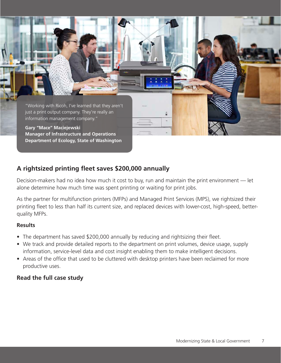

### **A rightsized printing fleet saves \$200,000 annually**

Decision-makers had no idea how much it cost to buy, run and maintain the print environment — let alone determine how much time was spent printing or waiting for print jobs.

As the partner for multifunction printers (MFPs) and Managed Print Services (MPS), we rightsized their printing fleet to less than half its current size, and replaced devices with lower-cost, high-speed, betterquality MFPs.

#### **Results**

- The department has saved \$200,000 annually by reducing and rightsizing their fleet.
- We track and provide detailed reports to the department on print volumes, device usage, supply information, service-level data and cost insight enabling them to make intelligent decisions.
- Areas of the office that used to be cluttered with desktop printers have been reclaimed for more productive uses.

#### **[Read the full case study](https://www.ricoh-usa.com/en/insights/library/case-studies/department-of-ecology-state-of-washington)**